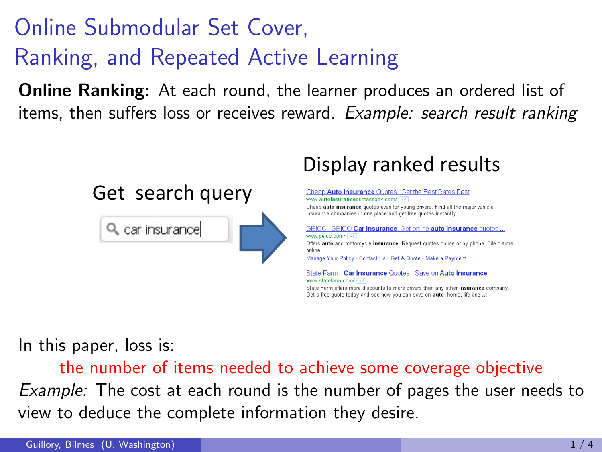## Online Submodular Set Cover, Ranking, and Repeated Active Learning

**Online Ranking:** At each round, the learner produces an ordered list of items, then suffers loss or receives reward. Example: search result ranking



#### Display ranked results

Cheap Auto Insurance Quotes | Get the Best Rates Fast www.autoinsurancenunteseasy.com/ Cheap auto insurance quotes even for young drivers. Find all the major vehicle insurance companies in one place and get free quotes instantly. GEICO | GEICO Car Insurance. Get online auto insurance quotes ... Offers auto and motorcycle insurance. Request quotes online or by phone. File claims Manage Your Policy - Contact Us - Get A Quote - Make a Payment

State Farm - Car Insurance Quotes - Save on Auto Insurance www.statefarm.com/ State Farm offers more discounts to more drivers than any other insurance company. Get a free quote today and see how you can save on auto, home, life and ...

In this paper, loss is:

the number of items needed to achieve some coverage objective Example: The cost at each round is the number of pages the user needs to view to deduce the complete information they desire.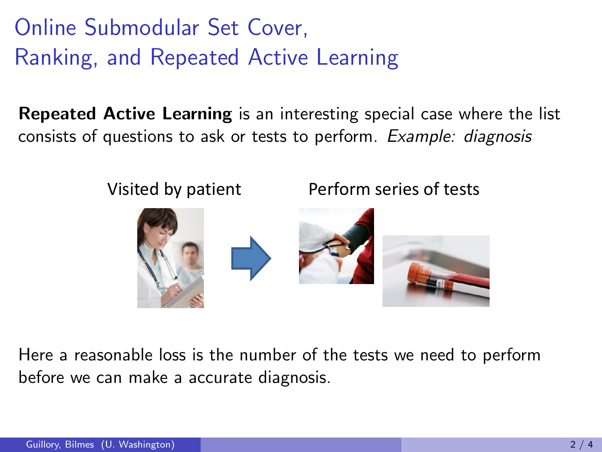Online Submodular Set Cover, Ranking, and Repeated Active Learning

Repeated Active Learning is an interesting special case where the list consists of questions to ask or tests to perform. Example: diagnosis

Visited by patient Perform series of tests



Here a reasonable loss is the number of the tests we need to perform before we can make a accurate diagnosis.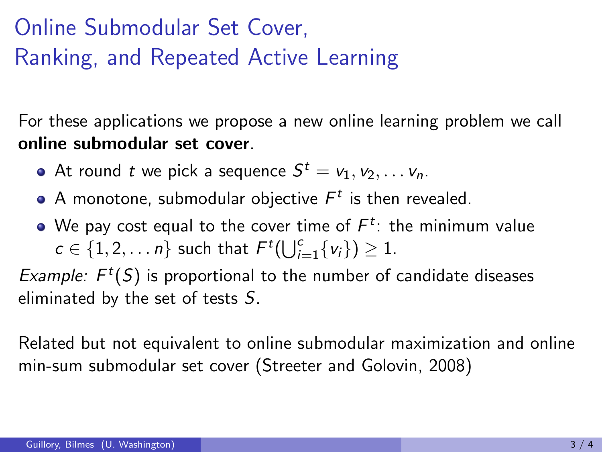# Online Submodular Set Cover, Ranking, and Repeated Active Learning

For these applications we propose a new online learning problem we call online submodular set cover.

- At round  $t$  we pick a sequence  $S^t = v_1, v_2, \ldots v_n$ .
- A monotone, submodular objective  $\mathcal{F}^t$  is then revealed.
- We pay cost equal to the cover time of  $\mathcal{F}^t$ : the minimum value  $c \in \{1, 2, \ldots n\}$  such that  $F^t(\bigcup_{i=1}^c \{v_i\}) \geq 1$ .

Example:  $F<sup>t</sup>(S)$  is proportional to the number of candidate diseases eliminated by the set of tests S.

Related but not equivalent to online submodular maximization and online min-sum submodular set cover (Streeter and Golovin, 2008)